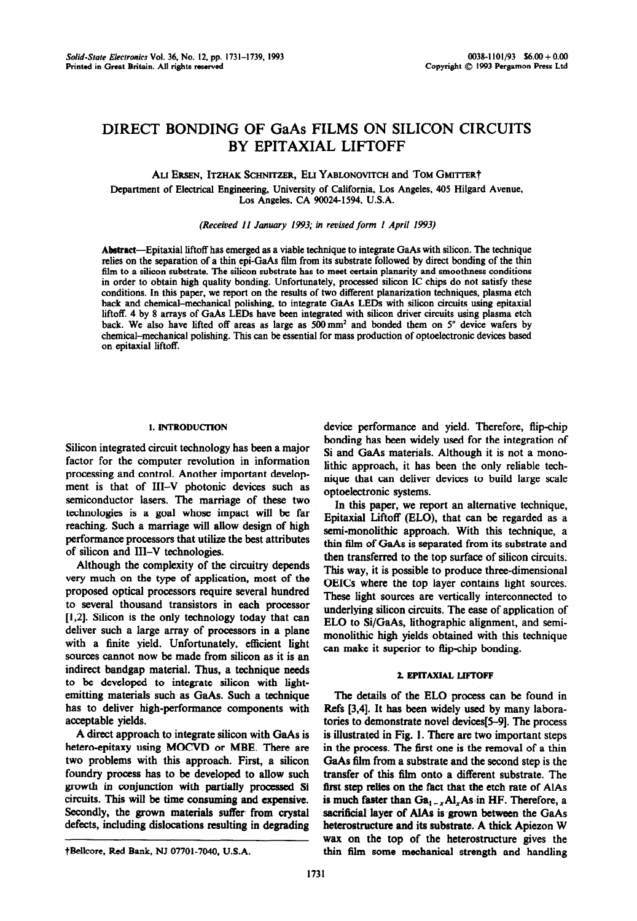# **DIRECT BONDING OF GaAs FILMS ON SILICON CIRCUITS BY EPITAXIAL LIFTOFF**

# ALI ERSEN, ITZHAK SCHNITZER, ELI YABLONOVITCH and TOM GMITTER†

Department **of Electrical Engineering, University of California, Los Angeles, 405 Hilgard Avenue, Los Angeles, CA 90024-1594, U.S.A.** 

*(Received I I January* **1993; in** *revised form 1 April 1993)* 

**Abstrac-Epitaxial liftoff has emerged as a viable technique to integrate GaAs with silicon. The technique relies on the separation of a thin epi-GaAs tilm from its substrate followed by direct bonding of the thin film to a silicon substrate. The silicon substrate has to meet certain planarity and smoothness conditions in order to obtain high quality bonding. Unfortunately, processed silicon IC chips do not satisfy these conditions. In this paper, we report on the results of two different planarization techniques, plasma etch back and chemical-mechanical polishing, to integrate GaAs LEDs with silicon circuits using epitaxial liftoff. 4 by 8 arrays of GaAs LEDs have been integrated with silicon driver circuits using plasma etch**  back. We also have lifted off areas as large as 500 mm<sup>2</sup> and bonded them on 5" device wafers by **chemical-mechanical polishing. This can be essential for mass production of optoelectronic devices based on epitaxial liftoff.** 

#### 1. INTRODUCTION

Silicon integrated circuit technology has been a major factor for the computer revolution in information processing and control. Another important development is that of III-V photonic devices such as semiconductor lasers. The marriage of these two technologies is a goal whose impact will be far reaching. Such a marriage will allow design of high performance processors that utilize the best attributes of silicon and III-V technologies.

Although the complexity of the circuitry depends very much on the type of application, most of the proposed optical processors require several hundred to several thousand transistors in each processor [1,2]. Silicon is the only technology today that can deliver such a large array of processors in a plane with a finite yield. Unfortunately, efficient light sources cannot now be made from silicon as it is an indirect bandgap material. Thus, a technique needs to be developed to integrate silicon with lightemitting materials such as GaAs. Such a technique has to deliver high-performance components with acceptable yields.

A direct approach to integrate silicon with GaAs is hetero-epitaxy using MOCVD or MBE. There are two problems with this approach. First, a silicon foundry process has to be developed to allow such growth in conjunction with partially processed Si circuits. This will be time consuming and expensive. Secondly, the grown materials suffer from crystal defects, including dislocations resulting in degrading

device performance and yield. Therefore, flip-chip bonding has been widely used for the integration of Si and GaAs materials. Although it is not a monolithic approach, it has been the only reliable technique that can deliver devices to build large scale optoelectronic systems.

In this paper, we report an alternative technique, Epitaxial Liftoff (ELO), that can be regarded as a semi-monolithic approach. With this technique, a thin flm of GaAs is separated from its substrate and then transferred to the top surface of silicon circuits. This way, it is possible to produce three-dimensional OEICs where the top layer contains light sources. These light sources are vertically interconnected to underlying silicon circuits. The ease of application of EL0 to Si/GaAs, lithographic alignment, and semimonolithic high yields obtained with this technique can make it superior to flip-chip bonding.

## 2. EPITAXIAL LIFTOFF

The details of the EL0 process can be found in Refs [3,4]. It has been widely used by many laboratories to demonstrate novel devices[5-9]. The process is illustrated in Fig. 1. There are two important steps in the process. The first one is the removal of a thin GaAs film from a substrate and the second step is the transfer of this film onto a different substrate. The first step relies on the fact that the etch rate of AlAs is much faster than  $Ga_{1-x}Al_xAs$  in HF. Therefore, a sacrificial layer of AlAs is grown between the GaAs heterostructure and its substrate. A thick Apiezon W wax on the top of the heterostructure gives the thin film some mechanical strength and handling

tBe.llcore, Red Bank, **NJ 07701-7040, U.S.A.**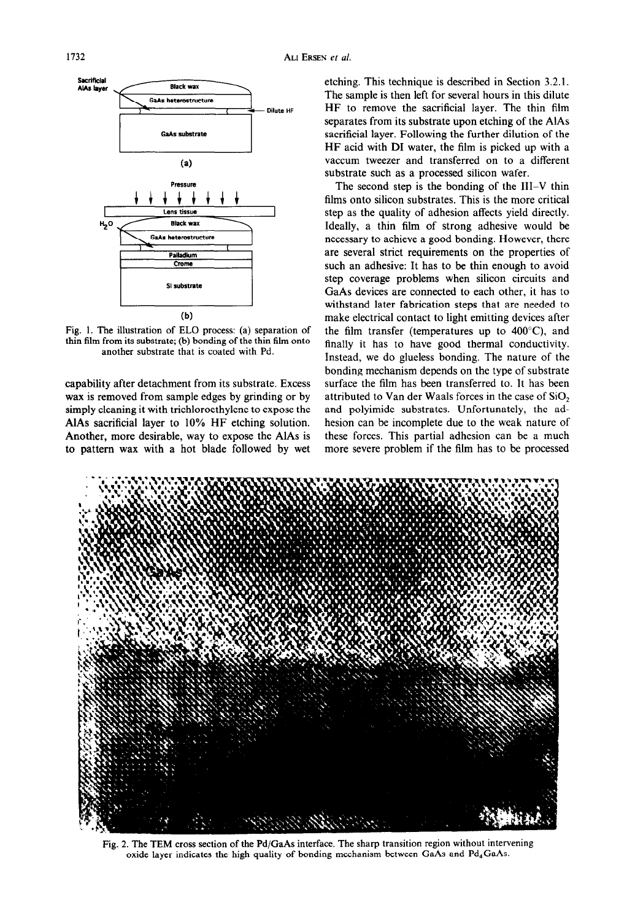

Fig. 1. The illustration of EL0 process: (a) separation of thin film from its substrate; (b) bonding of the thin film onto another substrate that is coated with Pd.

capability after detachment from its substrate. Excess wax is removed from sample edges by grinding or by simply cleaning it with trichloroethylene to expose the AlAs sacrificial layer to 10% HF etching solution. Another, more desirable, way to expose the AlAs is to pattern wax with a hot blade followed by wet

etching. This technique is described in Section 3.2.1. The sample is then left for several hours in this dilute HF to remove the sacrificial layer. The thin film separates from its substrate upon etching of the AlAs sacrificial layer. Following the further dilution of the HF acid with DI water, the film is picked up with a vaccum tweezer and transferred on to a different substrate such as a processed silicon wafer.

The second step is the bonding of the III-V thin films onto silicon substrates. This is the more critical step as the quality of adhesion affects yield directly. Ideally, a thin film of strong adhesive would be necessary to achieve a good bonding. However, there are several strict requirements on the properties of such an adhesive: It has to be thin enough to avoid step coverage problems when silicon circuits and GaAs devices are connected to each other, it has to withstand later fabrication steps that are needed to make electrical contact to light emitting devices after the film transfer (temperatures up to  $400^{\circ}$ C), and finally it has to have good thermal conductivity. Instead, we do glueless bonding. The nature of the bonding mechanism depends on the type of substrate surface the film has been transferred to. It has been attributed to Van der Waals forces in the case of SiO, and polyimide substrates. Unfortunately, the adhesion can be incomplete due to the weak nature of these forces. This partial adhesion can be a much more severe problem if the film has to be processed



Fig. 2. The TEM **cross section of the Pd/GaAs interface. The sharp transition region without intervening oxide layer indicates the high quality of bonding mechanism between GaAs and Pd,GaAs.**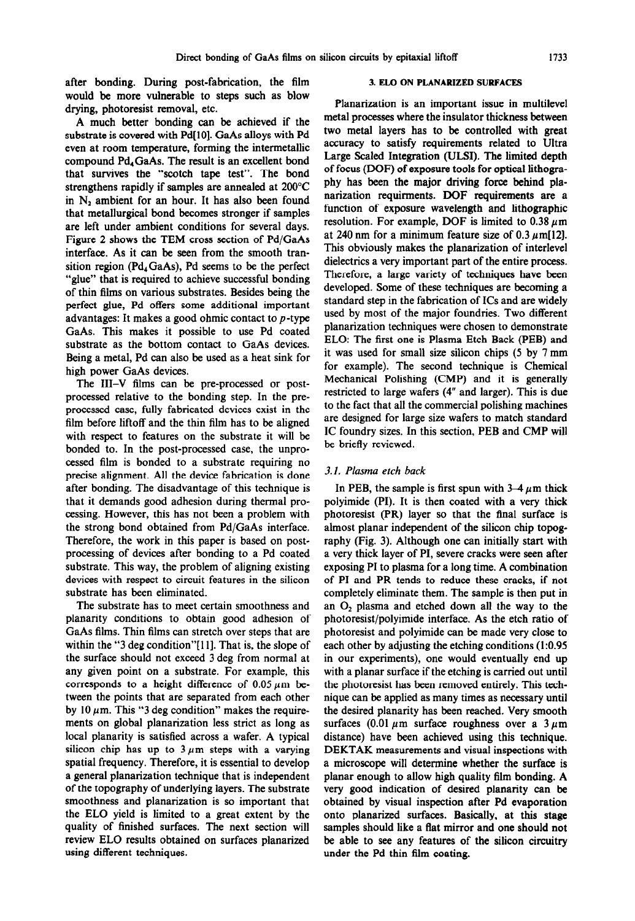after bonding. During post-fabrication, the film would be more vulnerable to steps such as blow drying, photoresist removal, etc.

A much better bonding can be achieved if the substrate is covered with Pd[10]. GaAs alloys with Pd even at room temperature, forming the intermetallic compound Pd,GaAs. The result is an excellent bond that survives the "scotch tape test". The bond strengthens rapidly if samples are annealed at 200°C in  $N_2$  ambient for an hour. It has also been found that metallurgical bond becomes stronger if samples are left under ambient conditions for several days. Figure 2 shows the TEM cross section of Pd/GaAs interface. As it can be seen from the smooth transition region ( $Pd<sub>4</sub>GaAs$ ), Pd seems to be the perfect "glue" that is required to achieve successful bonding of thin films on various substrates. Besides being the perfect glue, Pd offers some additional important advantages: It makes a good ohmic contact to  $p$ -type GaAs. This makes it possible to use Pd coated substrate as the bottom contact to GaAs devices. Being a metal, Pd can also be used as a heat sink for high power GaAs devices.

The III-V films can be pre-processed or postprocessed relative to the bonding step. In the preprocessed case, fully fabricated devices exist in the film before liftoff and the thin film has to be aligned with respect to features on the substrate it will be bonded to. In the post-processed case, the unprocessed film is bonded to a substrate requiring no precise alignment. All the device fabrication is done after bonding. The disadvantage of this technique is that it demands good adhesion during thermal processing. However, this has not been a problem with the strong bond obtained from Pd/GaAs interface. Therefore, the work in this paper is based on postprocessing of devices after bonding to a Pd coated substrate. This way, the problem of aligning existing devices with respect to circuit features in the silicon substrate has been eliminated.

The substrate has to meet certain smoothness and planarity conditions to obtain good adhesion of GaAs films. Thin films can stretch over steps that are within the "3 deg condition"[11]. That is, the slope of the surface should not exceed 3 deg from normal at any given point on a substrate. For example, this corresponds to a height difference of  $0.05 \mu m$  between the points that are separated from each other by 10  $\mu$ m. This "3 deg condition" makes the requirements on global planarization less strict as long as local planarity is satisfied across a wafer. A typical silicon chip has up to  $3 \mu m$  steps with a varying spatial frequency. Therefore, it is essential to develop a general planarization technique that is independent of the topography of underlying layers. The substrate smoothness and planarization is so important that the EL0 yield is limited to a great extent by the quality of finished surfaces. The next section will review EL0 results obtained on surfaces planarized using different techniques.

## 3. EL0 ON PLANARIZED SURFACES

Planarization is an important issue in multilevel metal processes where the insulator thickness between two metal layers has to be controlled with great accuracy to satisfy requirements related to Ultra Large Scaled Integration (ULSI). The limited depth of focus (DOF) of exposure tools for optical lithography has been the major driving force behind planarization requirments. DGF requirements are a function of exposure wavelength and lithographic resolution. For example, DOF is limited to 0.38  $\mu$ m at 240 nm for a minimum feature size of 0.3  $\mu$ m[12]. This obviously makes the planarization of interlevel dielectrics a very important part of the entire process. Therefore, a large variety of techniques have been developed. Some of these techniques are becoming a standard step in the fabrication of ICs and are widely used by most of the major foundries. Two different planarization techniques were chosen to demonstrate ELO: The first one is Plasma Etch Back (PEB) and it was used for small size silicon chips (5 by 7 mm for example). The second technique is Chemical Mechanical Polishing (CMP) and it is generally restricted to large wafers (4" and larger). This is due to the fact that all the commercial polishing machines are designed for large size wafers to match standard IC foundry sizes. In this section, PEB and CMP will be briefly reviewed.

# 3.1. *Plasma etch back*

In PEB, the sample is first spun with  $3-4 \mu m$  thick polyimide (PI). It is then coated with a very thick photoresist (PR) layer so that the final surface is almost planar independent of the silicon chip topography (Fig. 3). Although one can initially start with a very thick layer of PI, severe cracks were seen after exposing PI to plasma for a long time. A combination of PI and PR tends to reduce these cracks, if not completely eliminate them. The sample is then put in an  $O_2$  plasma and etched down all the way to the photoresist/polyimide interface. As the etch ratio of photoresist and polyimide can be made very close to each other by adjusting the etching conditions (1:0.95 in our experiments), one would eventually end up with a planar surface if the etching is carried out until the photoresist has been removed entirely. This technique can be applied as many times as necessary until the desired planarity has been reached. Very smooth surfaces (0.01  $\mu$ m surface roughness over a 3  $\mu$ m distance) have been achieved using this technique. DEKTAK measurements and visual inspections with a microscope will determine whether the surface is planar enough to allow high quality film bonding. A very good indication of desired planarity can be obtained by visual inspection after Pd evaporation onto planarized surfaces. Basically, at this stage samples should like a flat mirror and one should not be able to see any features of the silicon circuitry under the Pd thin film coating.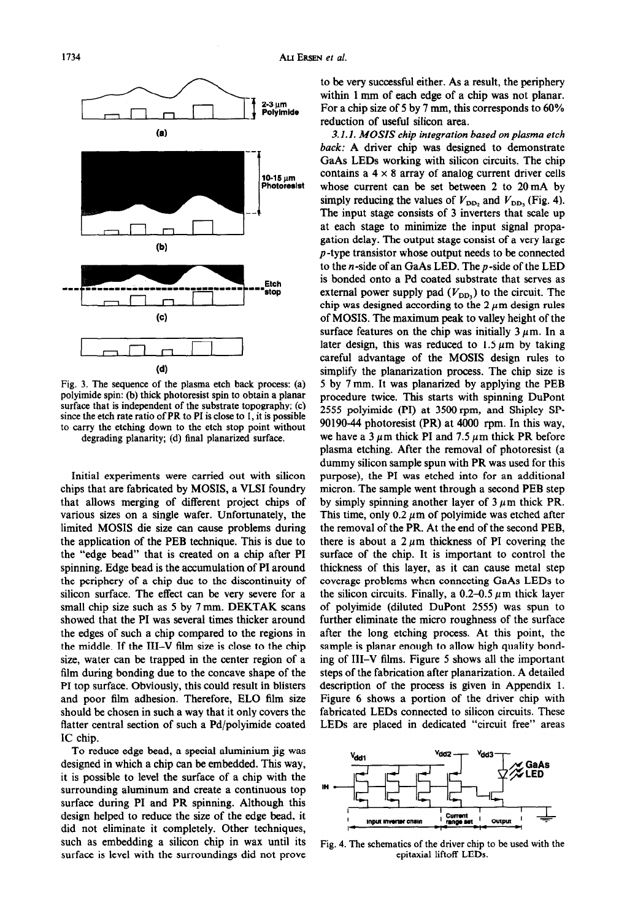

Fig. 3. The sequence of the plasma etch back process: (a) polyimide spin: (b) thick photoresist spin to obtain a planar surface that is independent of the substrate topography; (c) since the etch rate ratio of PR to PI is close to I, it is possible to carry the etching down to the etch stop point without degrading planarity; (d) final planarized surface.

Initial experiments were carried out with silicon chips that are fabricated by MOSIS, a VLSI foundry that allows merging of different project chips of various sizes on a single wafer. Unfortunately, the limited MOSIS die size can cause problems during the application of the PEB technique. This is due to the "edge bead" that is created on a chip after PI spinning. Edge bead is the accumulation of PI around the periphery of a chip due to the discontinuity of silicon surface. The effect can be very severe for a small chip size such as 5 by 7 mm. DEKTAK scans showed that the PI was several times thicker around the edges of such a chip compared to the regions in the middle. If the III-V film size is close to the chip size, water can be trapped in the center region of a film during bonding due to the concave shape of the PI top surface. Obviously, this could result in blisters and poor film adhesion. Therefore, EL0 film size should be chosen in such a way that it only covers the flatter central section of such a Pd/polyimide coated IC chip.

To reduce edge bead, a special aluminium jig was designed in which a chip can be embedded. This way, it is possible to level the surface of a chip with the surrounding aluminum and create a continuous top surface during PI and PR spinning. Although this design helped to reduce the size of the edge bead, it did not eliminate it completely. Other techniques, such as embedding a silicon chip in wax until its surface is level with the surroundings did not prove to be very successful either. As a result, the periphery within 1 mm of each edge of a chip was not planar. For a chip size of 5 by 7 mm, this corresponds to 60% reduction of useful silicon area.

3.1.1. MOSES *chip integration based on plasma etch back:* A driver chip was designed to demonstrate GaAs LEDs working with silicon circuits. The chip contains a  $4 \times 8$  array of analog current driver cells whose current can be set between 2 to 20mA by simply reducing the values of  $V_{DD_2}$  and  $V_{DD_3}$  (Fig. 4). The input stage consists of 3 inverters that scale up at each stage to minimize the input signal propagation delay. The output stage consist of a very large p-type transistor whose output needs to be connected to the  $n$ -side of an GaAs LED. The  $p$ -side of the LED is bonded onto a Pd coated substrate that serves as external power supply pad  $(V_{DD_2})$  to the circuit. The chip was designed according to the  $2 \mu m$  design rules of MOSIS. The maximum peak to valley height of the surface features on the chip was initially  $3 \mu$ m. In a later design, this was reduced to  $1.5 \mu m$  by taking careful advantage of the MOSIS design rules to simplify the planarization process. The chip size is  $5$  by  $7$  mm. It was planarized by applying the PEB procedure twice. This starts with spinning DuPont 2555 polyimide (PI) at 3500 rpm, and Shipley SP-9019044 photoresist (PR) at 4000 rpm. In this way, we have a 3  $\mu$ m thick PI and 7.5  $\mu$ m thick PR before plasma etching. After the removal of photoresist (a dummy silicon sample spun with PR was used for this purpose), the PI was etched into for an additional micron. The sample went through a second PEB step by simply spinning another layer of  $3 \mu$ m thick PR. This time, only 0.2  $\mu$ m of polyimide was etched after the removal of the PR. At the end of the second PEB, there is about a  $2 \mu m$  thickness of PI covering the surface of the chip. It is important to control the thickness of this layer, as it can cause metal step coverage problems when connecting GaAs LEDs to the silicon circuits. Finally, a 0.2-0.5  $\mu$ m thick layer of polyimide (diluted DuPont 2555) was spun to further eliminate the micro roughness of the surface after the long etching process. At this point, the sample is planar enough to allow high quality bonding of III-V films. Figure 5 shows all the important steps of the fabrication after planarization. A detailed description of the process is given in Appendix 1. Figure 6 shows a portion of the driver chip with fabricated LEDs connected to silicon circuits. These LEDs are placed in dedicated "circuit free" areas



Fig. 4. The schematics of the driver chip to be used with the epitaxial liftoff LEDs.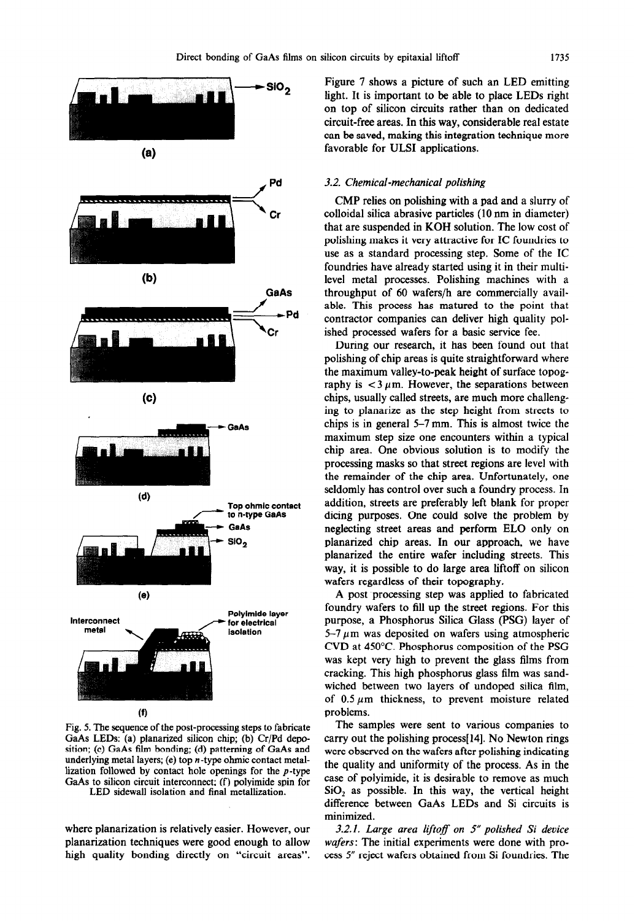

Fig. 5. The sequence of the post-processing steps to fabricate GaAs LEDs: (a) planarized silicon chip; (b) Cr/Pd deposition; (c) GaAs film bonding; (d) patterning of GaAs and underlying metal layers; (e) top  $n$ -type ohmic contact metallization followed by contact hole openings for the  $p$ -type GaAs to silicon circuit interconnect; (f) polyimide spin for

LED sidewall isolation and final metallization.

where planarization is relatively easier. However, our planarization techniques were good enough to allow high quality bonding directly on "circuit areas". Figure 7 shows a picture of such an LED emitting light. It is important to be able to place LEDs right on top of silicon circuits rather than on dedicated circuit-free areas. In this way, considerable real estate can be saved, making this integration technique more favorable for ULSI applications.

## 3.2. *Chemical-mechanical polishing*

CMP relies on polishing with a pad and a slurry of colloidal silica abrasive particles (10 nm in diameter) that are suspended in KOH solution. The low cost of polishing makes it very attractive for IC foundries to use as a standard processing step. Some of the IC foundries have already started using it in their multilevel metal processes. Polishing machines with a throughput of 60 wafers/h are commercially available. This process has matured to the point that contractor companies can deliver high quality polished processed wafers for a basic service fee.

During our research, it has been found out that polishing of chip areas is quite straightforward where the maximum valley-to-peak height of surface topography is  $\lt 3 \mu$ m. However, the separations between chips, usually called streets, are much more challeng ing to planarize as the step height from streets to chips is in general 5-7 mm. This is almost twice the maximum step size one encounters within a typical chip area. One obvious solution is to modify the processing masks so that street regions are level with the remainder of the chip area. Unfortunately, one seldomly has control over such a foundry process. In addition, streets are preferably left blank for proper dicing purposes. One could solve the problem by neglecting street areas and perform EL0 only on planarized chip areas. In our approach, we have planarized the entire wafer including streets. This way, it is possible to do large area liftoff on silicon wafers regardless of their topography.

A post processing step was applied to fabricated foundry wafers to fill up the street regions. For this purpose, a Phosphorus Silica Glass (PSG) layer of 5-7  $\mu$ m was deposited on wafers using atmospheric CVD at 450°C. Phosphorus composition of the PSG was kept very high to prevent the glass films from cracking. This high phosphorus glass film was sandwiched between two layers of undoped silica film, of  $0.5 \mu$ m thickness, to prevent moisture related problems.

The samples were sent to various companies to carry out the polishing process[ 141. No Newton rings were observed on the wafers after polishing indicating the quality and uniformity of the process. As in the case of polyimide, it is desirable to remove as much SiO, as possible. In this way, the vertical height difference between GaAs LEDs and Si circuits is minimized.

3.2.1. *Large area liftoff on 5" polished Si device wafers:* The initial experiments were done with process 5" reject wafers obtained from Si foundries. The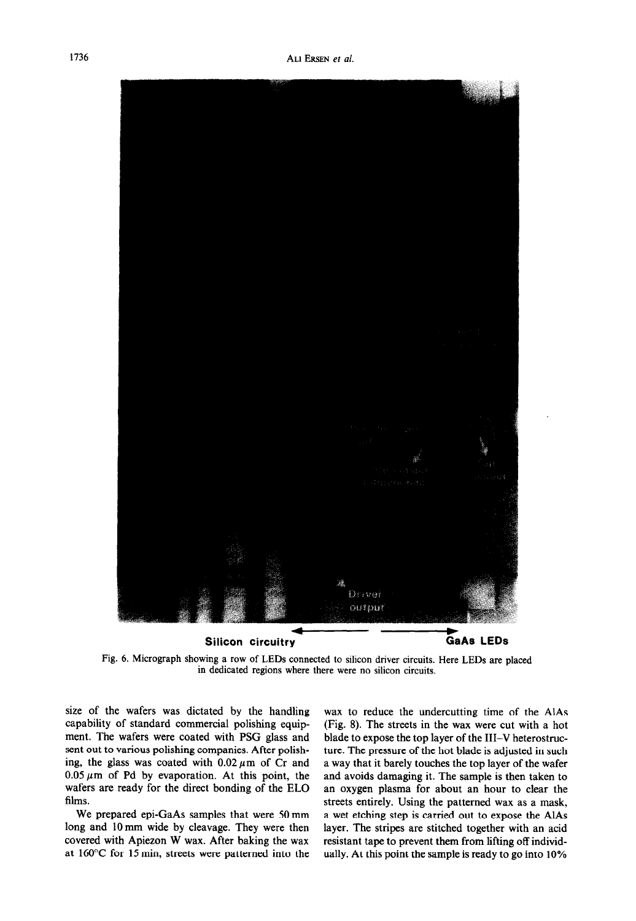

Fig. 6. Micrograph showing a row of LEDs connected to silicon driver circuits. Here LEDs are placed in dedicated regions where there were no silicon circuits.

size of the wafers was dictated by the handling capability of standard commercial polishing equipment. The wafers were coated with PSG glass and sent out to various polishing companies. After polishing, the glass was coated with  $0.02 \mu m$  of Cr and  $0.05 \mu m$  of Pd by evaporation. At this point, the wafers are ready for the direct bonding of the EL0 films.

We prepared epi-GaAs samples that were 50mm long and 1Omm wide by cleavage. They were then covered with Apiezon W wax. After baking the wax at 160°C for 15 min, streets were patterned into the

wax to reduce the undercutting time of the AlAs (Fig. 8). The streets in the wax were cut with a hot blade to expose the top layer of the III-V heterostructure. The pressure of the hot blade is adjusted in such a way that it barely touches the top layer of the wafer and avoids damaging it. The sample is then taken to an oxygen plasma for about an hour to clear the streets entirely. Using the patterned wax as a mask, a wet etching step is carried out to expose the AlAs layer. The stripes are stitched together with an acid resistant tape to prevent them from lifting off individually. At this point the sample is ready to go into 10%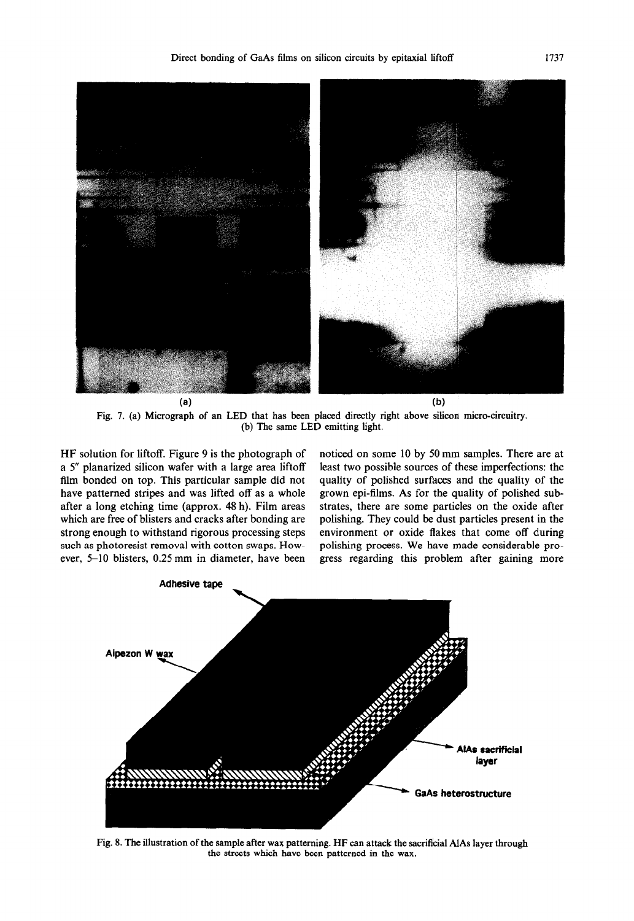

Fig. 7. (a) Micrograph of an LED that has been placed directly right above silicon micro-circuitry. (b) The same LED emitting light.

a 5" planarized silicon wafer with a large area liftoff least two possible sources of these imperfections: the film bonded on top. This particular sample did not quality of polished surfaces and the quality of the have patterned stripes and was lifted off as a whole grown epi-films. As for the quality of polished subafter a long etching time (approx. 48 h). Film areas strates, there are some particles on the oxide after which are free of blisters and cracks after bonding are polishing. They could be dust particles present in the strong enough to withstand rigorous processing steps environment or oxide flakes that come off during strong enough to withstand rigorous processing steps such as photoresist removal with cotton swaps. How- polishing process. We have made considerable proever, 5-10 blisters, 0.25 mm in diameter, have been gress regarding this problem after gaining more

HF solution for liftoff. Figure 9 is the photograph of noticed on some 10 by 50 mm samples. There are at



Fig. 8. The illustration of the sample after wax patterning. HF can attack the sacrificial AlAs layer through the streets which have been patterned in the wax.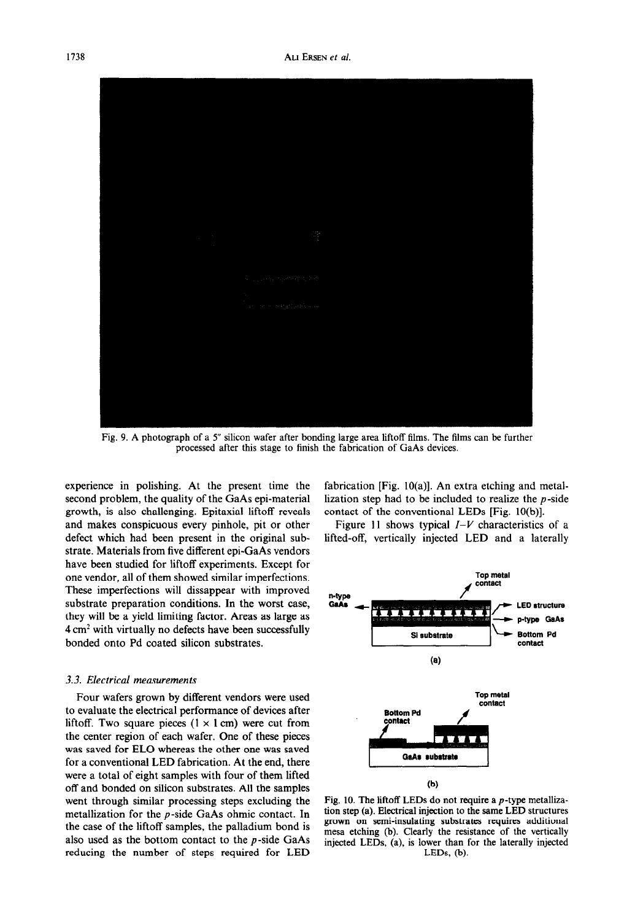

Fig. 9. A photograph of a 5" silicon wafer after bonding large area liftoff films. The films can be further processed after this stage to finish the fabrication of GaAs devices.

experience in polishing. At the present time the second problem, the quality of the GaAs epi-material growth, is also challenging. Epitaxial liftoff reveals and makes conspicuous every pinhole, pit or other defect which had been present in the original substrate. Materials from five different epi-GaAs vendors have been studied for liftoff experiments. Except for one vendor, all of them showed similar imperfections. These imperfections will dissappear with improved substrate preparation conditions. In the worst case, they will be a yield limiting factor. Areas as large as  $4 \text{ cm}^2$  with virtually no defects have been successfully bonded onto Pd coated silicon substrates.

# 3.3. *Electrical measurements*

Four wafers grown by different vendors were used to evaluate the electrical performance of devices after liftoff. Two square pieces  $(1 \times 1 \text{ cm})$  were cut from the center region of each wafer. One of these pieces was saved for EL0 whereas the other one was saved for a conventional LED fabrication. At the end, there were a total of eight samples with four of them lifted off and bonded on silicon substrates. All the samples went through similar processing steps excluding the metallization for the p-side GaAs ohmic contact. In the case of the liftoff samples, the palladium bond is also used as the bottom contact to the  $p$ -side GaAs reducing the number of steps required for LED fabrication [Fig.  $10(a)$ ]. An extra etching and metallization step had to be included to realize the  $p$ -side contact of the conventional LEDs [Fig. 10(b)].

Figure 11 shows typical  $I-V$  characteristics of a lifted-off, vertically injected LED and a laterally



Fig. 10. The liftoff LEDs do not require a  $p$ -type metallization step (a). Electrical injection to the same LED structures grown on semi-insulating substrates requires additional mesa etching (b). Clearly the resistance of the vertically injected LEDs, (a), is lower than for the laterally injected LEDs, (b).